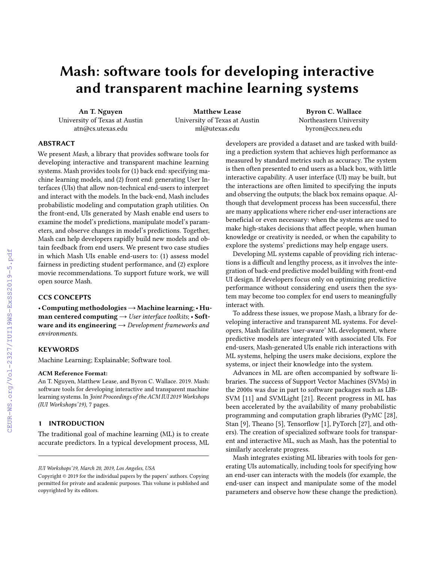# Mash: software tools for developing interactive and transparent machine learning systems

An T. Nguyen University of Texas at Austin atn@cs.utexas.edu

Matthew Lease University of Texas at Austin ml@utexas.edu

Byron C. Wallace Northeastern University byron@ccs.neu.edu

#### ABSTRACT

We present Mash, a library that provides software tools for developing interactive and transparent machine learning systems. Mash provides tools for (1) back end: specifying machine learning models, and (2) front end: generating User Interfaces (UIs) that allow non-technical end-users to interpret and interact with the models. In the back-end, Mash includes probabilistic modeling and computation graph utilities. On the front-end, UIs generated by Mash enable end users to examine the model's predictions, manipulate model's parameters, and observe changes in model's predictions. Together, Mash can help developers rapidly build new models and obtain feedback from end users. We present two case studies in which Mash UIs enable end-users to: (1) assess model fairness in predicting student performance, and (2) explore movie recommendations. To support future work, we will open source Mash.

#### CCS CONCEPTS

• Computing methodologies→Machine learning;• Human centered computing  $\rightarrow$  User interface toolkits;  $\cdot$  Software and its engineering  $\rightarrow$  Development frameworks and environments.

#### **KEYWORDS**

Machine Learning; Explainable; Software tool.

#### ACM Reference Format:

An T. Nguyen, Matthew Lease, and Byron C. Wallace. 2019. Mash: software tools for developing interactive and transparent machine learning systems. In Joint Proceedings of the ACM IUI 2019 Workshops (IUI Workshops'19), [7](#page--1-0) pages.

#### 1 INTRODUCTION

The traditional goal of machine learning (ML) is to create accurate predictors. In a typical development process, ML developers are provided a dataset and are tasked with building a prediction system that achieves high performance as measured by standard metrics such as accuracy. The system is then often presented to end users as a black box, with little interactive capability. A user interface (UI) may be built, but the interactions are often limited to specifying the inputs and observing the outputs; the black box remains opaque. Although that development process has been successful, there are many applications where richer end-user interactions are beneficial or even necessary: when the systems are used to make high-stakes decisions that affect people, when human knowledge or creativity is needed, or when the capability to explore the systems' predictions may help engage users.

Developing ML systems capable of providing rich interactions is a difficult and lengthy process, as it involves the integration of back-end predictive model building with front-end UI design. If developers focus only on optimizing predictive performance without considering end users then the system may become too complex for end users to meaningfully interact with.

To address these issues, we propose Mash, a library for developing interactive and transparent ML systems. For developers, Mash facilitates 'user-aware' ML development, where predictive models are integrated with associated UIs. For end-users, Mash-generated UIs enable rich interactions with ML systems, helping the users make decisions, explore the systems, or inject their knowledge into the system.

Advances in ML are often accompanied by software libraries. The success of Support Vector Machines (SVMs) in the 2000s was due in part to software packages such as LIB-SVM [\[11\]](#page--1-1) and SVMLight [\[21\]](#page--1-2). Recent progress in ML has been accelerated by the availability of many probabilistic programming and computation graph libraries (PyMC [\[28\]](#page--1-3), Stan [\[9\]](#page--1-4), Theano [\[5\]](#page--1-5), Tensorflow [\[1\]](#page--1-6), PyTorch [\[27\]](#page--1-7), and others). The creation of specialized software tools for transparent and interactive ML, such as Mash, has the potential to similarly accelerate progress.

Mash integrates existing ML libraries with tools for generating UIs automatically, including tools for specifying how an end-user can interacts with the models (for example, the end-user can inspect and manipulate some of the model parameters and observe how these change the prediction).

IUI Workshops'19, March 20, 2019, Los Angeles, USA

Copyright © 2019 for the individual papers by the papers' authors. Copying permitted for private and academic purposes. This volume is published and copyrighted by its editors.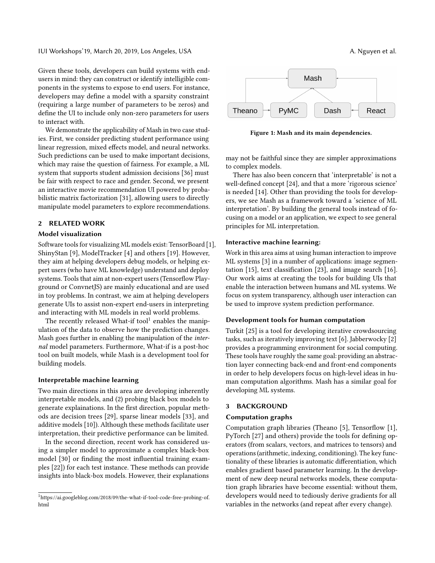IUI Workshops' 19, March 20, 2019, Los Angeles, USA A. Nguyen et al.

Given these tools, developers can build systems with endusers in mind: they can construct or identify intelligible components in the systems to expose to end users. For instance, developers may define a model with a sparsity constraint (requiring a large number of parameters to be zeros) and define the UI to include only non-zero parameters for users to interact with.

We demonstrate the applicability of Mash in two case studies. First, we consider predicting student performance using linear regression, mixed effects model, and neural networks. Such predictions can be used to make important decisions, which may raise the question of fairness. For example, a ML system that supports student admission decisions [\[36\]](#page-6-0) must be fair with respect to race and gender. Second, we present an interactive movie recommendation UI powered by probabilistic matrix factorization [\[31\]](#page-6-1), allowing users to directly manipulate model parameters to explore recommendations.

### 2 RELATED WORK

#### Model visualization

Software tools for visualizing ML models exist: TensorBoard [\[1\]](#page-5-0), ShinyStan [\[9\]](#page-5-1), ModelTracker [\[4\]](#page-5-2) and others [\[19\]](#page-6-2). However, they aim at helping developers debug models, or helping expert users (who have ML knowledge) understand and deploy systems. Tools that aim at non-expert users (Tensorflow Playground or ConvnetJS) are mainly educational and are used in toy problems. In contrast, we aim at helping developers generate UIs to assist non-expert end-users in interpreting and interacting with ML models in real world problems.

The recently released What-if tool<sup>[1](#page-1-0)</sup> enables the manipulation of the data to observe how the prediction changes. Mash goes further in enabling the manipulation of the internal model parameters. Furthermore, What-if is a post-hoc tool on built models, while Mash is a development tool for building models.

#### Interpretable machine learning

Two main directions in this area are developing inherently interpretable models, and (2) probing black box models to generate explainations. In the first direction, popular methods are decision trees [\[29\]](#page-6-3), sparse linear models [\[33\]](#page-6-4), and additive models [\[10\]](#page-5-3)). Although these methods facilitate user interpretation, their predictive performance can be limited.

In the second direction, recent work has considered using a simpler model to approximate a complex black-box model [\[30\]](#page-6-5) or finding the most influential training examples [\[22\]](#page-6-6)) for each test instance. These methods can provide insights into black-box models. However, their explanations

<span id="page-1-1"></span>

Figure 1: Mash and its main dependencies.

may not be faithful since they are simpler approximations to complex models.

There has also been concern that 'interpretable' is not a well-defined concept [\[24\]](#page-6-7), and that a more 'rigorous science' is needed [\[14\]](#page-5-4). Other than providing the tools for developers, we see Mash as a framework toward a 'science of ML interpretation'. By building the general tools instead of focusing on a model or an application, we expect to see general principles for ML interpretation.

#### Interactive machine learning:

Work in this area aims at using human interaction to improve ML systems [\[3\]](#page-5-5) in a number of applications: image segmentation [\[15\]](#page-5-6), text classification [\[23\]](#page-6-8), and image search [\[16\]](#page-5-7). Our work aims at creating the tools for building UIs that enable the interaction between humans and ML systems. We focus on system transparency, although user interaction can be used to improve system prediction performance.

#### Development tools for human computation

Turkit [\[25\]](#page-6-9) is a tool for developing iterative crowdsourcing tasks, such as iteratively improving text [\[6\]](#page-5-8). Jabberwocky [\[2\]](#page-5-9) provides a programming environment for social computing. These tools have roughly the same goal: providing an abstraction layer connecting back-end and front-end components in order to help developers focus on high-level ideas in human computation algorithms. Mash has a similar goal for developing ML systems.

#### 3 BACKGROUND

#### Computation graphs

Computation graph libraries (Theano [\[5\]](#page-5-10), Tensorflow [\[1\]](#page-5-0), PyTorch [\[27\]](#page-6-10) and others) provide the tools for defining operators (from scalars, vectors, and matrices to tensors) and operations (arithmetic, indexing, conditioning). The key functionality of these libraries is automatic differentiation, which enables gradient based parameter learning. In the development of new deep neural networks models, these computation graph libraries have become essential: without them, developers would need to tediously derive gradients for all variables in the networks (and repeat after every change).

<span id="page-1-0"></span><sup>1</sup>[https://ai.googleblog.com/2018/09/the-what-if-tool-code-free-probing-of.](https://ai.googleblog.com/2018/09/the-what-if-tool-code-free-probing-of.html) [html](https://ai.googleblog.com/2018/09/the-what-if-tool-code-free-probing-of.html)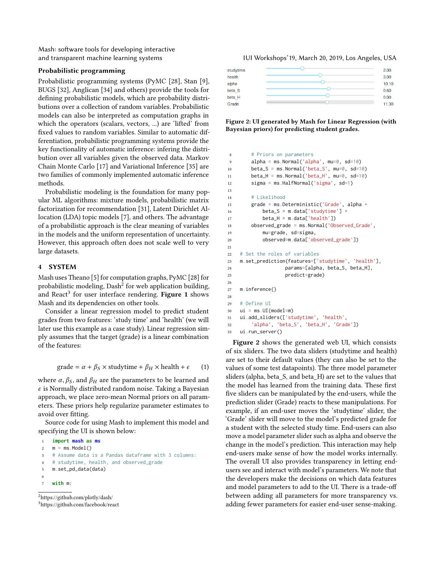Mash: software tools for developing interactive

#### Probabilistic programming

Probabilistic programming systems (PyMC [\[28\]](#page-6-11), Stan [\[9\]](#page-5-1), BUGS [\[32\]](#page-6-12), Anglican [\[34\]](#page-6-13) and others) provide the tools for defining probabilistic models, which are probability distributions over a collection of random variables. Probabilistic models can also be interpreted as computation graphs in which the operators (scalars, vectors, ...) are 'lifted' from fixed values to random variables. Similar to automatic differentiation, probabilistic programming systems provide the key functionality of automatic inference: infering the distribution over all variables given the observed data. Markov Chain Monte Carlo [\[17\]](#page-5-11) and Variational Inference [\[35\]](#page-6-14) are two families of commonly implemented automatic inference methods.

Probabilistic modeling is the foundation for many popular ML algorithms: mixture models, probabilistic matrix factorization for recommendation [\[31\]](#page-6-1), Latent Dirichlet Allocation (LDA) topic models [\[7\]](#page-5-12), and others. The advantage of a probabilistic approach is the clear meaning of variables in the models and the uniform representation of uncertainty. However, this approach often does not scale well to very large datasets.

#### 4 SYSTEM

Mash uses Theano [\[5\]](#page-5-10) for computation graphs, PyMC [\[28\]](#page-6-11) for probabilistic modeling,  $Dash<sup>2</sup>$  $Dash<sup>2</sup>$  $Dash<sup>2</sup>$  for web application building, and React<sup>[3](#page-2-1)</sup> for user interface rendering. Figure [1](#page-1-1) shows Mash and its dependencies on other tools.

Consider a linear regression model to predict student grades from two features: 'study time' and 'health' (we will later use this example as a case study). Linear regression simply assumes that the target (grade) is a linear combination of the features:

$$
\text{grade} = \alpha + \beta_S \times \text{studytime} + \beta_H \times \text{health} + \epsilon \qquad (1)
$$

where  $\alpha$ ,  $\beta$ <sub>S</sub>, and  $\beta$ <sub>H</sub> are the parameters to be learned and  $\epsilon$  is Normally distributed random noise. Taking a Bayesian approach, we place zero-mean Normal priors on all parameters. These priors help regularize parameter estimates to avoid over fitting.

Source code for using Mash to implement this model and specifying the UI is shown below:

```
1 import mash as ms
2 \quad m = ms. Model()3 # Assume data is a Pandas dataframe with 3 columns:
4 # studytime, health, and observed_grade
5 m.set_pd_data(data)
6
7 with m:
```
<span id="page-2-1"></span><span id="page-2-0"></span><sup>2</sup>https://github.com/plotly/dash/ <sup>3</sup>https://github.com/facebook/react

#### and transparent machine learning systems IUI Workshops' 19, March 20, 2019, Los Angeles, USA

<span id="page-2-2"></span>

Figure 2: UI generated by Mash for Linear Regression (with Bayesian priors) for predicting student grades.

```
8 # Priors on parameters
9 alpha = ms. Normal('alpha', mu=0, sd=10)
10 beta_S = ms.Normal('beta_S', mu=0, sd=10)
11 beta_H = ms. Normal('beta_H', mu=0, sd=10)
12 sigma = ms.HalfNormal('sigma', sd=1)
13
14 # Likelihood
15 grade = ms.Deterministic('Grade', alpha +
16 beta_S * m.data['studytime'] +
17 beta_H * m.data['health'])
18 observed_grade = ms.Normal('Observed_Grade',
19 mu=grade, sd=sigma,
20 observed=m.data['observed_grade'])
21
22 # Set the roles of variables
23 m.set_prediction(features=['studytime', 'health'],
24 params=[alpha, beta_S, beta_H],
25 predict=grade)
26
27 m.inference()
28
29 # Define UI
30 ui = ms.UI(model=m)
31 ui.add_sliders(['studytime', 'health',
32 'alpha', 'beta_S', 'beta_H', 'Grade'])
33 ui.run_server()
```
Figure [2](#page-2-2) shows the generated web UI, which consists of six sliders. The two data sliders (studytime and health) are set to their default values (they can also be set to the values of some test datapoints). The three model parameter sliders (alpha, beta\_S, and beta\_H) are set to the values that the model has learned from the training data. These first five sliders can be manipulated by the end-users, while the prediction slider (Grade) reacts to these manipulations. For example, if an end-user moves the 'studytime' slider, the 'Grade' slider will move to the model's predicted grade for a student with the selected study time. End-users can also move a model parameter slider such as alpha and observe the change in the model's prediction. This interaction may help end-users make sense of how the model works internally. The overall UI also provides transparency in letting endusers see and interact with model's parameters. We note that the developers make the decisions on which data features and model parameters to add to the UI. There is a trade-off between adding all parameters for more transparency vs. adding fewer parameters for easier end-user sense-making.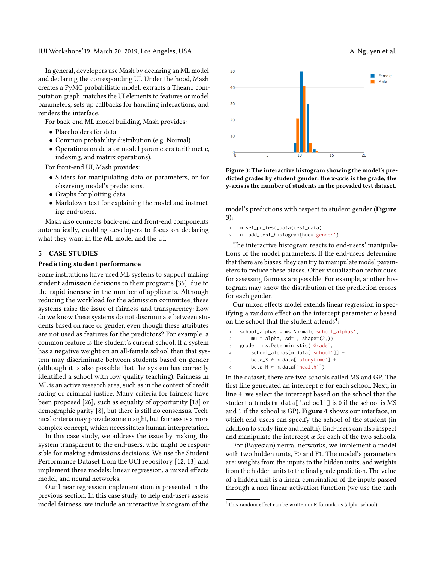IUI Workshops' 19, March 20, 2019, Los Angeles, USA A. Nguyen et al.

In general, developers use Mash by declaring an ML model and declaring the corresponding UI. Under the hood, Mash creates a PyMC probabilistic model, extracts a Theano computation graph, matches the UI elements to features or model parameters, sets up callbacks for handling interactions, and renders the interface.

For back-end ML model building, Mash provides:

- Placeholders for data.
- Common probability distribution (e.g. Normal).
- Operations on data or model parameters (arithmetic, indexing, and matrix operations).

For front-end UI, Mash provides:

- Sliders for manipulating data or parameters, or for observing model's predictions.
- Graphs for plotting data.
- Markdown text for explaining the model and instructing end-users.

Mash also connects back-end and front-end components automatically, enabling developers to focus on declaring what they want in the ML model and the UI.

#### 5 CASE STUDIES

#### Predicting student performance

Some institutions have used ML systems to support making student admission decisions to their programs [\[36\]](#page-6-0), due to the rapid increase in the number of applicants. Although reducing the workload for the admission committee, these systems raise the issue of fairness and transparency: how do we know these systems do not discriminate between students based on race or gender, even though these attributes are not used as features for the predictors? For example, a common feature is the student's current school. If a system has a negative weight on an all-female school then that system may discriminate between students based on gender (although it is also possible that the system has correctly identified a school with low quality teaching). Fairness in ML is an active research area, such as in the context of credit rating or criminal justice. Many criteria for fairness have been proposed [\[26\]](#page-6-15), such as equality of opportunity [\[18\]](#page-6-16) or demographic parity [\[8\]](#page-5-13), but there is still no consensus. Technical criteria may provide some insight, but fairness is a more complex concept, which necessitates human interpretation.

In this case study, we address the issue by making the system transparent to the end-users, who might be responsible for making admissions decisions. We use the Student Performance Dataset from the UCI repository [\[12,](#page-5-14) [13\]](#page-5-15) and implement three models: linear regression, a mixed effects model, and neural networks.

Our linear regression implementation is presented in the previous section. In this case study, to help end-users assess model fairness, we include an interactive histogram of the

<span id="page-3-0"></span>

Figure 3: The interactive histogram showing the model's predicted grades by student gender: the x-axis is the grade, the y-axis is the number of students in the provided test dataset.

model's predictions with respect to student gender (**Figure**) [3](#page-3-0)):

1 m.set\_pd\_test\_data(test\_data)

2 ui.add\_test\_histogram(hue='gender')

The interactive histogram reacts to end-users' manipulations of the model parameters. If the end-users determine that there are biases, they can try to manipulate model parameters to reduce these biases. Other visualization techniques for assessing fairness are possible. For example, another histogram may show the distribution of the prediction errors for each gender.

Our mixed effects model extends linear regression in specifying a random effect on the intercept parameter  $\alpha$  based on the school that the student attends<sup>[4](#page-3-1)</sup>:

```
1 school_alphas = ms.Normal('school_alphas',
2 \text{ mu} = \text{alpha}, \text{ sd}=1, \text{ shape}=(2,))3 grade = ms.Deterministic('Grade',
4 school_alphas[m.data['school']] +
5 beta_S * m.data['studytime']
        6 beta_H * m.data['health'])
```
In the dataset, there are two schools called MS and GP. The first line generated an intercept  $\alpha$  for each school. Next, in line 4, we select the intercept based on the school that the student attends (m.data['school'] is 0 if the school is MS and 1 if the school is GP). Figure [4](#page-4-0) shows our interface, in which end-users can specify the school of the student (in addition to study time and health). End-users can also inspect and manipulate the intercept  $\alpha$  for each of the two schools.

For (Bayesian) neural networks, we implement a model with two hidden units, F0 and F1. The model's parameters are: weights from the inputs to the hidden units, and weights from the hidden units to the final grade prediction. The value of a hidden unit is a linear combination of the inputs passed through a non-linear activation function (we use the tanh

<span id="page-3-1"></span> ${}^{4}{\rm This}$  random effect can be written in R formula as (alpha|school)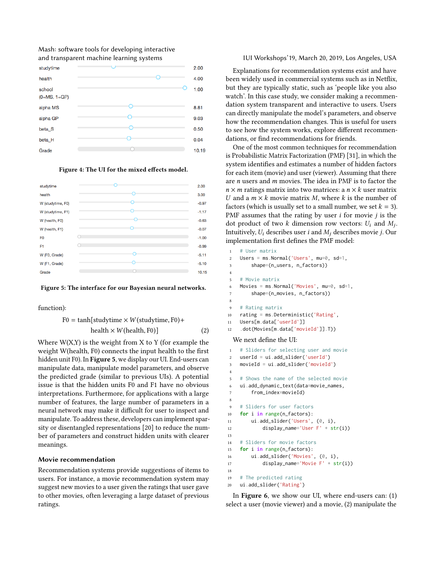### Mash: software tools for developing interactive

<span id="page-4-0"></span>

| studytime                |   |   | 2.00  |
|--------------------------|---|---|-------|
| health                   |   |   | 4.00  |
| school<br>$(O=MS, 1=GP)$ |   | C | 1.00  |
| alpha MS                 |   |   | 8.81  |
| alpha GP                 |   |   | 9.03  |
| beta <sub>S</sub>        |   |   | 0.50  |
| beta_H                   | c |   | 0.04  |
| Grade                    |   |   | 10.19 |
|                          |   |   |       |

Figure 4: The UI for the mixed effects model.

<span id="page-4-1"></span>

| studytime         |  | 2.00    |
|-------------------|--|---------|
| health            |  | 3.00    |
| W (studytime, F0) |  | $-0.97$ |
| W (studytime, F1) |  | $-1.17$ |
| W (health, F0)    |  | $-0.63$ |
| W (health, F1)    |  | $-0.07$ |
| F <sub>0</sub>    |  | $-1.00$ |
| F1                |  | $-0.99$ |
| W (F0, Grade)     |  | $-5.11$ |
| W (F1, Grade)     |  | $-5.10$ |
| Grade             |  | 10.15   |

#### Figure 5: The interface for our Bayesian neural networks.

function):

$$
F0 = \tanh[\text{studytime} \times W(\text{studytime}, F0) + \text{health} \times W(\text{health}, F0)] \tag{2}
$$

Where  $W(X, Y)$  is the weight from X to Y (for example the weight W(health, F0) connects the input health to the first hidden unit F0). In Figure [5](#page-4-1), we display our UI. End-users can manipulate data, manipulate model parameters, and observe the predicted grade (similar to previous UIs). A potential issue is that the hidden units F0 and F1 have no obvious interpretations. Furthermore, for applications with a large number of features, the large number of parameters in a neural network may make it difficult for user to inspect and manipulate. To address these, developers can implement sparsity or disentangled representations [\[20\]](#page-6-17) to reduce the number of parameters and construct hidden units with clearer meanings.

#### Movie recommendation

Recommendation systems provide suggestions of items to users. For instance, a movie recommendation system may suggest new movies to a user given the ratings that user gave to other movies, often leveraging a large dataset of previous ratings.

#### and transparent machine learning systems **ICI Workshops's** IUI Workshops' 19, March 20, 2019, Los Angeles, USA

Explanations for recommendation systems exist and have been widely used in commercial systems such as in Netflix, but they are typically static, such as 'people like you also watch'. In this case study, we consider making a recommendation system transparent and interactive to users. Users can directly manipulate the model's parameters, and observe how the recommendation changes. This is useful for users to see how the system works, explore different recommendations, or find recommendations for friends.

One of the most common techniques for recommendation is Probabilistic Matrix Factorization (PMF) [\[31\]](#page-6-1), in which the system identifies and estimates a number of hidden factors for each item (movie) and user (viewer). Assuming that there are n users and m movies. The idea in PMF is to factor the  $n \times m$  ratings matrix into two matrices: a  $n \times k$  user matrix U and a  $m \times k$  movie matrix M, where k is the number of factors (which is usually set to a small number, we set  $k = 3$ ). PMF assumes that the rating by user  $i$  for movie  $j$  is the dot product of two  $k$  dimension row vectors:  $U_i$  and  $M_j$ . Intuitively,  $U_i$  describes user i and  $M_i$  describes movie j. Our implementation first defines the PMF model:

```
1 # User matrix
2 Users = ms.Normal('Users', mu=0, sd=1,
3 shape=(n_users, n_factors))
4
5 # Movie matrix
    Movies = ms.Normal('Movies', mu=0, sd=1,
7 shape=(n_movies, n_factors))
8
9 # Rating matrix
10 rating = ms.Deterministic('Rating',
11 Users[m.data['userId']]
12 .dot(Movies[m.data['movieId']].T))
  We next define the UI:
1 # Sliders for selecting user and movie
2 userId = ui.add_slider('userId')
```

```
3 movieId = ui.add_slider('movieId')
```

```
4
5 # Shows the name of the selected movie
6 ui.add_dynamic_text(data=movie_names,
7 from_index=movieId)
8
9 # Sliders for user factors
10 for i in range(n_factors):
11 ui.add_slider('Users', (0, i),
12 display_name='User F' + str(i))
13
14 # Sliders for movie factors
15 for i in range(n_factors):
16 ui.add_slider('Movies', (0, i),
17 display_name='Movie F' + str(i))
18
19 # The predicted rating
20 ui.add_slider('Rating')
```
In Figure [6](#page-5-16), we show our UI, where end-users can: (1) select a user (movie viewer) and a movie, (2) manipulate the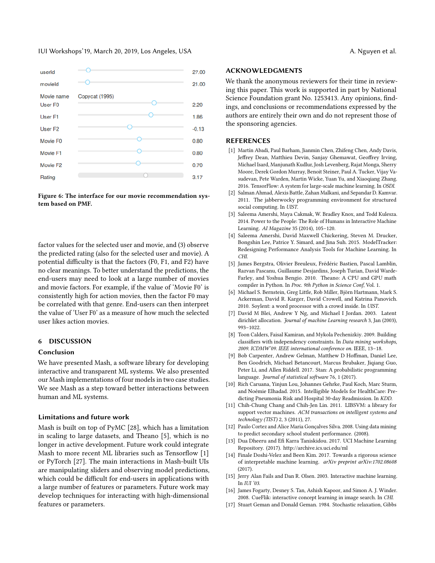IUI Workshops' 19, March 20, 2019, Los Angeles, USA A. Nguyen et al.

<span id="page-5-16"></span>



factor values for the selected user and movie, and (3) observe the predicted rating (also for the selected user and movie). A potential difficulty is that the factors (F0, F1, and F2) have no clear meanings. To better understand the predictions, the end-users may need to look at a large number of movies and movie factors. For example, if the value of 'Movie F0' is consistently high for action movies, then the factor F0 may be correlated with that genre. End-users can then interpret the value of 'User F0' as a measure of how much the selected user likes action movies.

#### 6 DISCUSSION

#### Conclusion

We have presented Mash, a software library for developing interactive and transparent ML systems. We also presented our Mash implementations of four models in two case studies. We see Mash as a step toward better interactions between human and ML systems.

#### Limitations and future work

Mash is built on top of PyMC [\[28\]](#page-6-11), which has a limitation in scaling to large datasets, and Theano [\[5\]](#page-5-10), which is no longer in active development. Future work could integrate Mash to more recent ML libraries such as Tensorflow [\[1\]](#page-5-0) or PyTorch [\[27\]](#page-6-10). The main interactions in Mash-built UIs are manipulating sliders and observing model predictions, which could be difficult for end-users in applications with a large number of features or parameters. Future work may develop techniques for interacting with high-dimensional features or parameters.

#### ACKNOWLEDGMENTS

We thank the anonymous reviewers for their time in reviewing this paper. This work is supported in part by National Science Foundation grant No. 1253413. Any opinions, findings, and conclusions or recommendations expressed by the authors are entirely their own and do not represent those of the sponsoring agencies.

#### REFERENCES

- <span id="page-5-0"></span>[1] Martín Abadi, Paul Barham, Jianmin Chen, Zhifeng Chen, Andy Davis, Jeffrey Dean, Matthieu Devin, Sanjay Ghemawat, Geoffrey Irving, Michael Isard, Manjunath Kudlur, Josh Levenberg, Rajat Monga, Sherry Moore, Derek Gordon Murray, Benoit Steiner, Paul A. Tucker, Vijay Vasudevan, Pete Warden, Martin Wicke, Yuan Yu, and Xiaoqiang Zhang. 2016. TensorFlow: A system for large-scale machine learning. In OSDI.
- <span id="page-5-9"></span>[2] Salman Ahmad, Alexis Battle, Zahan Malkani, and Sepandar D. Kamvar. 2011. The jabberwocky programming environment for structured social computing. In UIST.
- <span id="page-5-5"></span>[3] Saleema Amershi, Maya Cakmak, W. Bradley Knox, and Todd Kulesza. 2014. Power to the People: The Role of Humans in Interactive Machine Learning. AI Magazine 35 (2014), 105–120.
- <span id="page-5-2"></span>[4] Saleema Amershi, David Maxwell Chickering, Steven M. Drucker, Bongshin Lee, Patrice Y. Simard, and Jina Suh. 2015. ModelTracker: Redesigning Performance Analysis Tools for Machine Learning. In CHI<sub>.</sub>
- <span id="page-5-10"></span>[5] James Bergstra, Olivier Breuleux, Frédéric Bastien, Pascal Lamblin, Razvan Pascanu, Guillaume Desjardins, Joseph Turian, David Warde-Farley, and Yoshua Bengio. 2010. Theano: A CPU and GPU math compiler in Python. In Proc. 9th Python in Science Conf, Vol. 1.
- <span id="page-5-8"></span>[6] Michael S. Bernstein, Greg Little, Rob Miller, Björn Hartmann, Mark S. Ackerman, David R. Karger, David Crowell, and Katrina Panovich. 2010. Soylent: a word processor with a crowd inside. In UIST.
- <span id="page-5-12"></span>[7] David M Blei, Andrew Y Ng, and Michael I Jordan. 2003. Latent dirichlet allocation. Journal of machine Learning research 3, Jan (2003), 993–1022.
- <span id="page-5-13"></span>[8] Toon Calders, Faisal Kamiran, and Mykola Pechenizkiy. 2009. Building classifiers with independency constraints. In Data mining workshops, 2009. ICDMW'09. IEEE international conference on. IEEE, 13–18.
- <span id="page-5-1"></span>[9] Bob Carpenter, Andrew Gelman, Matthew D Hoffman, Daniel Lee, Ben Goodrich, Michael Betancourt, Marcus Brubaker, Jiqiang Guo, Peter Li, and Allen Riddell. 2017. Stan: A probabilistic programming language. Journal of statistical software 76, 1 (2017).
- <span id="page-5-3"></span>[10] Rich Caruana, Yinjun Lou, Johannes Gehrke, Paul Koch, Marc Sturm, and Noémie Elhadad. 2015. Intelligible Models for HealthCare: Predicting Pneumonia Risk and Hospital 30-day Readmission. In KDD.
- [11] Chih-Chung Chang and Chih-Jen Lin. 2011. LIBSVM: a library for support vector machines. ACM transactions on intelligent systems and technology (TIST) 2, 3 (2011), 27.
- <span id="page-5-14"></span>[12] Paulo Cortez and Alice Maria Gonçalves Silva. 2008. Using data mining to predict secondary school student performance. (2008).
- <span id="page-5-15"></span>[13] Dua Dheeru and Efi Karra Taniskidou. 2017. UCI Machine Learning Repository. (2017).<http://archive.ics.uci.edu/ml>
- <span id="page-5-4"></span>[14] Finale Doshi-Velez and Been Kim. 2017. Towards a rigorous science of interpretable machine learning. arXiv preprint arXiv:1702.08608 (2017).
- <span id="page-5-6"></span>[15] Jerry Alan Fails and Dan R. Olsen. 2003. Interactive machine learning. In  $III$  '03.
- <span id="page-5-7"></span>[16] James Fogarty, Desney S. Tan, Ashish Kapoor, and Simon A. J. Winder. 2008. CueFlik: interactive concept learning in image search. In CHI.
- <span id="page-5-11"></span>[17] Stuart Geman and Donald Geman. 1984. Stochastic relaxation, Gibbs